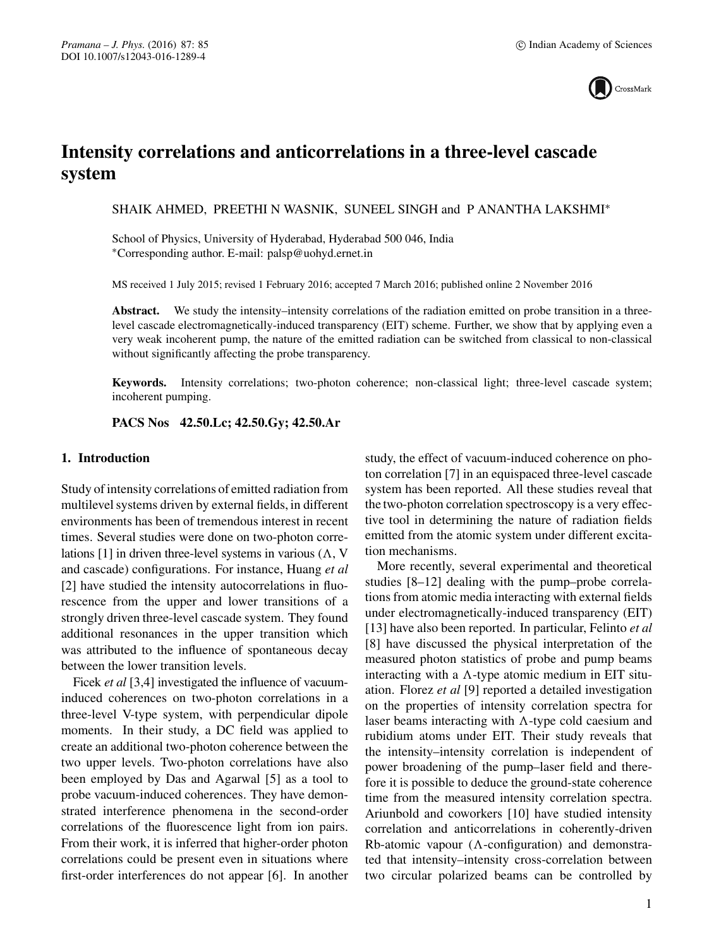

# **Intensity correlations and anticorrelations in a three-level cascade system**

SHAIK AHMED, PREETHI N WASNIK, SUNEEL SINGH and P ANANTHA LAKSHMI<sup>\*</sup>

School of Physics, University of Hyderabad, Hyderabad 500 046, India ∗Corresponding author. E-mail: palsp@uohyd.ernet.in

MS received 1 July 2015; revised 1 February 2016; accepted 7 March 2016; published online 2 November 2016

**Abstract.** We study the intensity–intensity correlations of the radiation emitted on probe transition in a threelevel cascade electromagnetically-induced transparency (EIT) scheme. Further, we show that by applying even a very weak incoherent pump, the nature of the emitted radiation can be switched from classical to non-classical without significantly affecting the probe transparency.

**Keywords.** Intensity correlations; two-photon coherence; non-classical light; three-level cascade system; incoherent pumping.

**PACS Nos 42.50.Lc; 42.50.Gy; 42.50.Ar**

## **1. Introduction**

Study of intensity correlations of emitted radiation from multilevel systems driven by external fields, in different environments has been of tremendous interest in recent times. Several studies were done on two-photon correlations [1] in driven three-level systems in various  $(A, V)$ and cascade) configurations. For instance, Huang *et al* [2] have studied the intensity autocorrelations in fluorescence from the upper and lower transitions of a strongly driven three-level cascade system. They found additional resonances in the upper transition which was attributed to the influence of spontaneous decay between the lower transition levels.

Ficek *et al* [3,4] investigated the influence of vacuuminduced coherences on two-photon correlations in a three-level V-type system, with perpendicular dipole moments. In their study, a DC field was applied to create an additional two-photon coherence between the two upper levels. Two-photon correlations have also been employed by Das and Agarwal [5] as a tool to probe vacuum-induced coherences. They have demonstrated interference phenomena in the second-order correlations of the fluorescence light from ion pairs. From their work, it is inferred that higher-order photon correlations could be present even in situations where first-order interferences do not appear [6]. In another study, the effect of vacuum-induced coherence on photon correlation [7] in an equispaced three-level cascade system has been reported. All these studies reveal that the two-photon correlation spectroscopy is a very effective tool in determining the nature of radiation fields emitted from the atomic system under different excitation mechanisms.

More recently, several experimental and theoretical studies [8–12] dealing with the pump–probe correlations from atomic media interacting with external fields under electromagnetically-induced transparency (EIT) [13] have also been reported. In particular, Felinto *et al* [8] have discussed the physical interpretation of the measured photon statistics of probe and pump beams interacting with a  $\Lambda$ -type atomic medium in EIT situation. Florez *et al* [9] reported a detailed investigation on the properties of intensity correlation spectra for laser beams interacting with  $\Lambda$ -type cold caesium and rubidium atoms under EIT. Their study reveals that the intensity–intensity correlation is independent of power broadening of the pump–laser field and therefore it is possible to deduce the ground-state coherence time from the measured intensity correlation spectra. Ariunbold and coworkers [10] have studied intensity correlation and anticorrelations in coherently-driven Rb-atomic vapour ( $\Lambda$ -configuration) and demonstrated that intensity–intensity cross-correlation between two circular polarized beams can be controlled by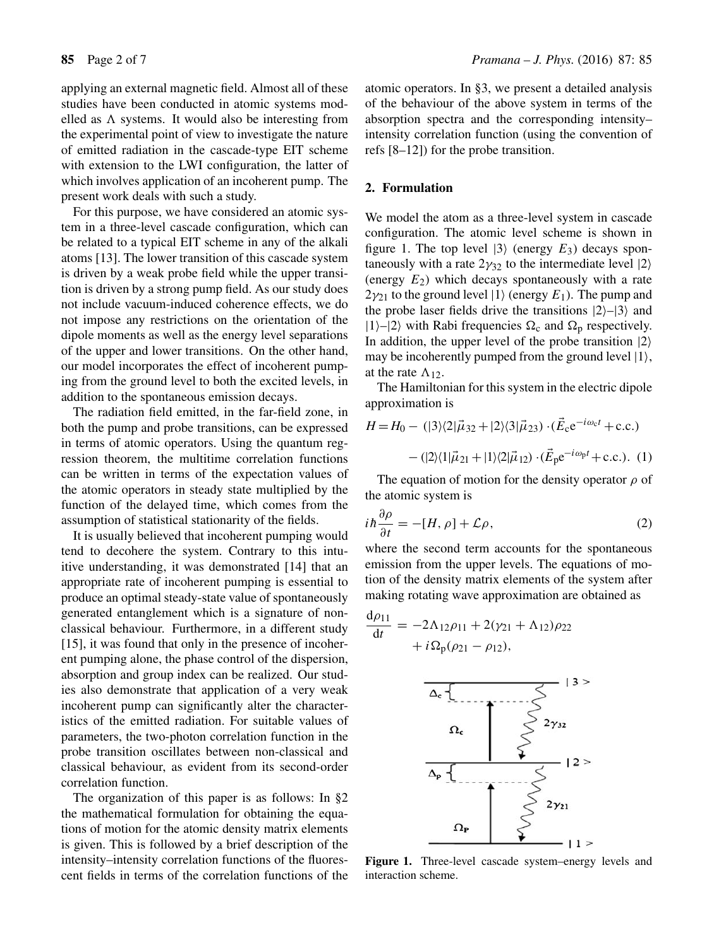applying an external magnetic field. Almost all of these studies have been conducted in atomic systems modelled as  $\Lambda$  systems. It would also be interesting from the experimental point of view to investigate the nature of emitted radiation in the cascade-type EIT scheme with extension to the LWI configuration, the latter of which involves application of an incoherent pump. The present work deals with such a study.

For this purpose, we have considered an atomic system in a three-level cascade configuration, which can be related to a typical EIT scheme in any of the alkali atoms [13]. The lower transition of this cascade system is driven by a weak probe field while the upper transition is driven by a strong pump field. As our study does not include vacuum-induced coherence effects, we do not impose any restrictions on the orientation of the dipole moments as well as the energy level separations of the upper and lower transitions. On the other hand, our model incorporates the effect of incoherent pumping from the ground level to both the excited levels, in addition to the spontaneous emission decays.

The radiation field emitted, in the far-field zone, in both the pump and probe transitions, can be expressed in terms of atomic operators. Using the quantum regression theorem, the multitime correlation functions can be written in terms of the expectation values of the atomic operators in steady state multiplied by the function of the delayed time, which comes from the assumption of statistical stationarity of the fields.

It is usually believed that incoherent pumping would tend to decohere the system. Contrary to this intuitive understanding, it was demonstrated [14] that an appropriate rate of incoherent pumping is essential to produce an optimal steady-state value of spontaneously generated entanglement which is a signature of nonclassical behaviour. Furthermore, in a different study [15], it was found that only in the presence of incoherent pumping alone, the phase control of the dispersion, absorption and group index can be realized. Our studies also demonstrate that application of a very weak incoherent pump can significantly alter the characteristics of the emitted radiation. For suitable values of parameters, the two-photon correlation function in the probe transition oscillates between non-classical and classical behaviour, as evident from its second-order correlation function.

The organization of this paper is as follows: In §2 the mathematical formulation for obtaining the equations of motion for the atomic density matrix elements is given. This is followed by a brief description of the intensity–intensity correlation functions of the fluorescent fields in terms of the correlation functions of the atomic operators. In §3, we present a detailed analysis of the behaviour of the above system in terms of the absorption spectra and the corresponding intensity– intensity correlation function (using the convention of refs [8–12]) for the probe transition.

## **2. Formulation**

We model the atom as a three-level system in cascade configuration. The atomic level scheme is shown in figure 1. The top level  $|3\rangle$  (energy  $E_3$ ) decays spontaneously with a rate  $2\gamma_{32}$  to the intermediate level  $|2\rangle$ (energy  $E_2$ ) which decays spontaneously with a rate  $2\gamma_{21}$  to the ground level  $|1\rangle$  (energy  $E_1$ ). The pump and the probe laser fields drive the transitions  $|2\rangle - |3\rangle$  and  $|1\rangle$ – $|2\rangle$  with Rabi frequencies  $\Omega_c$  and  $\Omega_p$  respectively. In addition, the upper level of the probe transition  $|2\rangle$ may be incoherently pumped from the ground level  $|1\rangle$ , at the rate  $\Lambda_{12}$ .

The Hamiltonian for this system in the electric dipole approximation is

$$
H = H_0 - (|3\rangle\langle 2|\vec{\mu}_{32} + |2\rangle\langle 3|\vec{\mu}_{23}) \cdot (\vec{E}_c e^{-i\omega_c t} + \text{c.c.})
$$

$$
- (|2\rangle\langle 1|\vec{\mu}_{21} + |1\rangle\langle 2|\vec{\mu}_{12}) \cdot (\vec{E}_p e^{-i\omega_p t} + \text{c.c.}). \tag{1}
$$

The equation of motion for the density operator  $\rho$  of the atomic system is

$$
i\hbar \frac{\partial \rho}{\partial t} = -[H, \rho] + \mathcal{L}\rho,\tag{2}
$$

where the second term accounts for the spontaneous emission from the upper levels. The equations of motion of the density matrix elements of the system after making rotating wave approximation are obtained as

$$
\frac{d\rho_{11}}{dt} = -2\Lambda_{12}\rho_{11} + 2(\gamma_{21} + \Lambda_{12})\rho_{22} + i\Omega_{p}(\rho_{21} - \rho_{12}),
$$



**Figure 1.** Three-level cascade system–energy levels and interaction scheme.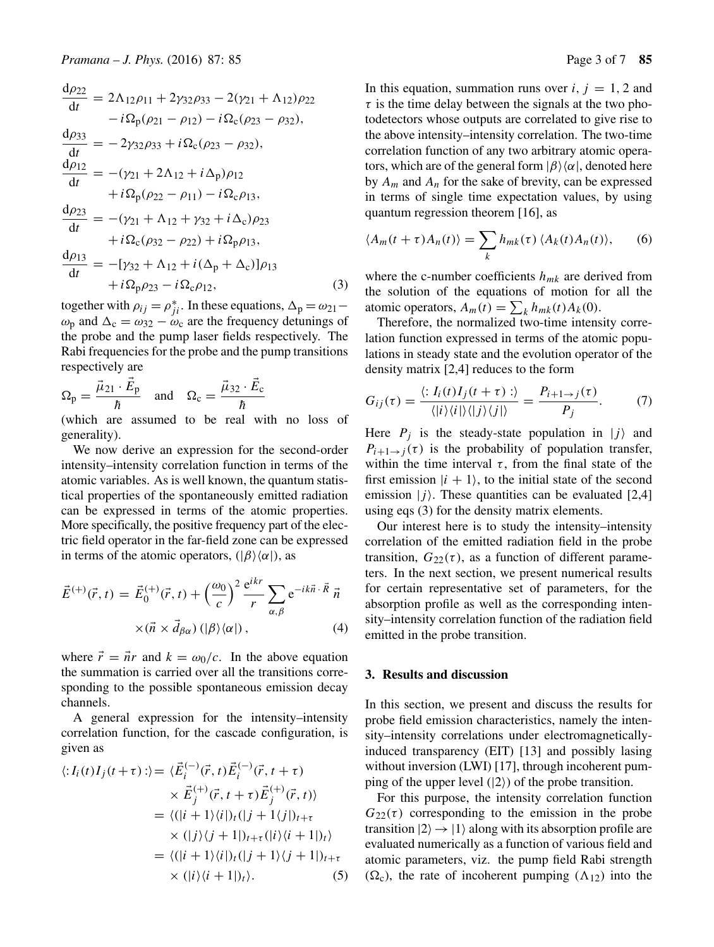$$
\frac{d\rho_{22}}{dt} = 2\Lambda_{12}\rho_{11} + 2\gamma_{32}\rho_{33} - 2(\gamma_{21} + \Lambda_{12})\rho_{22} \n- i\Omega_{p}(\rho_{21} - \rho_{12}) - i\Omega_{c}(\rho_{23} - \rho_{32}), \n\frac{d\rho_{33}}{dt} = -2\gamma_{32}\rho_{33} + i\Omega_{c}(\rho_{23} - \rho_{32}), \n\frac{d\rho_{12}}{dt} = -(\gamma_{21} + 2\Lambda_{12} + i\Delta_{p})\rho_{12} \n+ i\Omega_{p}(\rho_{22} - \rho_{11}) - i\Omega_{c}\rho_{13}, \n\frac{d\rho_{23}}{dt} = -(\gamma_{21} + \Lambda_{12} + \gamma_{32} + i\Delta_{c})\rho_{23} \n+ i\Omega_{c}(\rho_{32} - \rho_{22}) + i\Omega_{p}\rho_{13}, \n\frac{d\rho_{13}}{dt} = -[\gamma_{32} + \Lambda_{12} + i(\Delta_{p} + \Delta_{c})]\rho_{13} \n+ i\Omega_{p}\rho_{23} - i\Omega_{c}\rho_{12},
$$
\n(3)

together with  $\rho_{ij} = \rho_{ji}^*$ . In these equations,  $\Delta_p = \omega_{21} - \omega_{21}$  $\omega_p$  and  $\Delta_c = \omega_{32} - \omega_c$  are the frequency detunings of the probe and the pump laser fields respectively. The Rabi frequencies for the probe and the pump transitions respectively are

$$
\Omega_{\rm p} = \frac{\vec{\mu}_{21} \cdot \vec{E}_{\rm p}}{\hbar} \quad \text{and} \quad \Omega_{\rm c} = \frac{\vec{\mu}_{32} \cdot \vec{E}_{\rm c}}{\hbar}
$$

(which are assumed to be real with no loss of generality).

We now derive an expression for the second-order intensity–intensity correlation function in terms of the atomic variables. As is well known, the quantum statistical properties of the spontaneously emitted radiation can be expressed in terms of the atomic properties. More specifically, the positive frequency part of the electric field operator in the far-field zone can be expressed in terms of the atomic operators,  $(|\beta\rangle\langle\alpha|)$ , as

$$
\vec{E}^{(+)}(\vec{r},t) = \vec{E}_0^{(+)}(\vec{r},t) + \left(\frac{\omega_0}{c}\right)^2 \frac{e^{ikr}}{r} \sum_{\alpha,\beta} e^{-ik\vec{n}\cdot\vec{R}} \vec{n}
$$

$$
\times (\vec{n} \times \vec{d}_{\beta\alpha}) (\ket{\beta}\bra{\alpha}), \tag{4}
$$

where  $\vec{r} = \vec{n}r$  and  $k = \omega_0/c$ . In the above equation the summation is carried over all the transitions corresponding to the possible spontaneous emission decay channels.

A general expression for the intensity–intensity correlation function, for the cascade configuration, is given as

$$
\langle: I_i(t)I_j(t+\tau): \rangle = \langle \vec{E}_i^{(-)}(\vec{r}, t) \vec{E}_i^{(-)}(\vec{r}, t + \tau) \times \vec{E}_j^{(+)}(\vec{r}, t + \tau) \vec{E}_j^{(+)}(\vec{r}, t) \rangle
$$
  
\n
$$
= \langle (|i+1\rangle\langle i|)_t (|j+1\langle j|)_{t+\tau} \times (|j\rangle\langle i+1|)_{t\rangle} \times (|j\rangle\langle j+1|)_{t+\tau} (|i\rangle\langle i+1|)_{t\rangle}
$$
  
\n
$$
= \langle (|i+1\rangle\langle i|)_t (|j+1\rangle\langle j+1|)_{t+\tau} \times (|i\rangle\langle i+1|)_{t\rangle}.
$$
 (5)

In this equation, summation runs over  $i, j = 1, 2$  and  $\tau$  is the time delay between the signals at the two photodetectors whose outputs are correlated to give rise to the above intensity–intensity correlation. The two-time correlation function of any two arbitrary atomic opera-

tors, which are of the general form  $|\beta\rangle\langle\alpha|$ , denoted here by  $A_m$  and  $A_n$  for the sake of brevity, can be expressed in terms of single time expectation values, by using quantum regression theorem [16], as

$$
\langle A_m(t+\tau)A_n(t)\rangle = \sum_k h_{mk}(\tau) \langle A_k(t)A_n(t)\rangle, \qquad (6)
$$

where the c-number coefficients  $h_{mk}$  are derived from the solution of the equations of motion for all the atomic operators,  $A_m(t) = \sum_k h_{mk}(t) A_k(0)$ .

Therefore, the normalized two-time intensity correlation function expressed in terms of the atomic populations in steady state and the evolution operator of the density matrix [2,4] reduces to the form

$$
G_{ij}(\tau) = \frac{\langle: I_i(t)I_j(t+\tau): \rangle}{\langle |i\rangle\langle i|\rangle\langle |j\rangle\langle j|\rangle} = \frac{P_{i+1 \to j}(\tau)}{P_j}.
$$
 (7)

Here  $P_i$  is the steady-state population in  $|j\rangle$  and  $P_{i+1\to j}(\tau)$  is the probability of population transfer, within the time interval  $\tau$ , from the final state of the first emission  $|i + 1\rangle$ , to the initial state of the second emission  $|i\rangle$ . These quantities can be evaluated [2,4] using eqs (3) for the density matrix elements.

Our interest here is to study the intensity–intensity correlation of the emitted radiation field in the probe transition,  $G_{22}(\tau)$ , as a function of different parameters. In the next section, we present numerical results for certain representative set of parameters, for the absorption profile as well as the corresponding intensity–intensity correlation function of the radiation field emitted in the probe transition.

## **3. Results and discussion**

In this section, we present and discuss the results for probe field emission characteristics, namely the intensity–intensity correlations under electromagneticallyinduced transparency (EIT) [13] and possibly lasing without inversion (LWI) [17], through incoherent pumping of the upper level  $(|2\rangle)$  of the probe transition.

For this purpose, the intensity correlation function  $G_{22}(\tau)$  corresponding to the emission in the probe transition  $|2\rangle \rightarrow |1\rangle$  along with its absorption profile are evaluated numerically as a function of various field and atomic parameters, viz. the pump field Rabi strength  $(\Omega_c)$ , the rate of incoherent pumping  $(\Lambda_{12})$  into the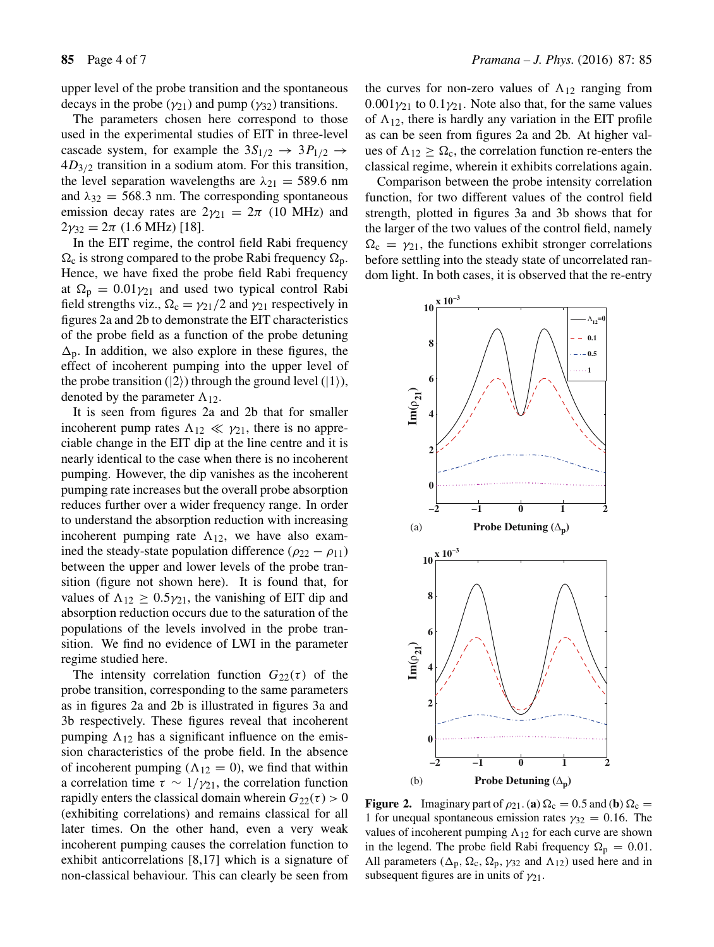upper level of the probe transition and the spontaneous decays in the probe  $(\gamma_{21})$  and pump  $(\gamma_{32})$  transitions.

The parameters chosen here correspond to those used in the experimental studies of EIT in three-level cascade system, for example the  $3S_{1/2} \rightarrow 3P_{1/2} \rightarrow$  $4D_{3/2}$  transition in a sodium atom. For this transition, the level separation wavelengths are  $\lambda_{21} = 589.6$  nm and  $\lambda_{32} = 568.3$  nm. The corresponding spontaneous emission decay rates are  $2\gamma_{21} = 2\pi$  (10 MHz) and  $2\gamma_{32} = 2\pi$  (1.6 MHz) [18].

In the EIT regime, the control field Rabi frequency  $\Omega_c$  is strong compared to the probe Rabi frequency  $\Omega_p$ . Hence, we have fixed the probe field Rabi frequency at  $\Omega_{\rm p} = 0.01\gamma_{21}$  and used two typical control Rabi field strengths viz.,  $\Omega_c = \gamma_{21}/2$  and  $\gamma_{21}$  respectively in figures 2a and 2b to demonstrate the EIT characteristics of the probe field as a function of the probe detuning  $\Delta_p$ . In addition, we also explore in these figures, the effect of incoherent pumping into the upper level of the probe transition ( $|2\rangle$ ) through the ground level ( $|1\rangle$ ), denoted by the parameter  $\Lambda_{12}$ .

It is seen from figures 2a and 2b that for smaller incoherent pump rates  $\Lambda_{12} \ll \gamma_{21}$ , there is no appreciable change in the EIT dip at the line centre and it is nearly identical to the case when there is no incoherent pumping. However, the dip vanishes as the incoherent pumping rate increases but the overall probe absorption reduces further over a wider frequency range. In order to understand the absorption reduction with increasing incoherent pumping rate  $\Lambda_{12}$ , we have also examined the steady-state population difference ( $\rho_{22} - \rho_{11}$ ) between the upper and lower levels of the probe transition (figure not shown here). It is found that, for values of  $\Lambda_{12} \geq 0.5\gamma_{21}$ , the vanishing of EIT dip and absorption reduction occurs due to the saturation of the populations of the levels involved in the probe transition. We find no evidence of LWI in the parameter regime studied here.

The intensity correlation function  $G_{22}(\tau)$  of the probe transition, corresponding to the same parameters as in figures 2a and 2b is illustrated in figures 3a and 3b respectively. These figures reveal that incoherent pumping  $\Lambda_{12}$  has a significant influence on the emission characteristics of the probe field. In the absence of incoherent pumping ( $\Lambda_{12} = 0$ ), we find that within a correlation time  $\tau \sim 1/\gamma_{21}$ , the correlation function rapidly enters the classical domain wherein  $G_{22}(\tau) > 0$ (exhibiting correlations) and remains classical for all later times. On the other hand, even a very weak incoherent pumping causes the correlation function to exhibit anticorrelations [8,17] which is a signature of non-classical behaviour. This can clearly be seen from

the curves for non-zero values of  $\Lambda_{12}$  ranging from  $0.001\gamma_{21}$  to  $0.1\gamma_{21}$ . Note also that, for the same values of  $\Lambda_{12}$ , there is hardly any variation in the EIT profile as can be seen from figures 2a and 2b. At higher values of  $\Lambda_{12} \geq \Omega_c$ , the correlation function re-enters the classical regime, wherein it exhibits correlations again.

Comparison between the probe intensity correlation function, for two different values of the control field strength, plotted in figures 3a and 3b shows that for the larger of the two values of the control field, namely  $\Omega_c = \gamma_{21}$ , the functions exhibit stronger correlations before settling into the steady state of uncorrelated random light. In both cases, it is observed that the re-entry



**Figure 2.** Imaginary part of  $\rho_{21}$ . (**a**)  $\Omega_c = 0.5$  and (**b**)  $\Omega_c =$ 1 for unequal spontaneous emission rates  $\gamma_{32} = 0.16$ . The values of incoherent pumping  $\Lambda_{12}$  for each curve are shown in the legend. The probe field Rabi frequency  $\Omega_{\rm p} = 0.01$ . All parameters ( $\Delta_p$ ,  $\Omega_c$ ,  $\Omega_p$ ,  $\gamma_{32}$  and  $\Lambda_{12}$ ) used here and in subsequent figures are in units of  $\gamma_{21}$ .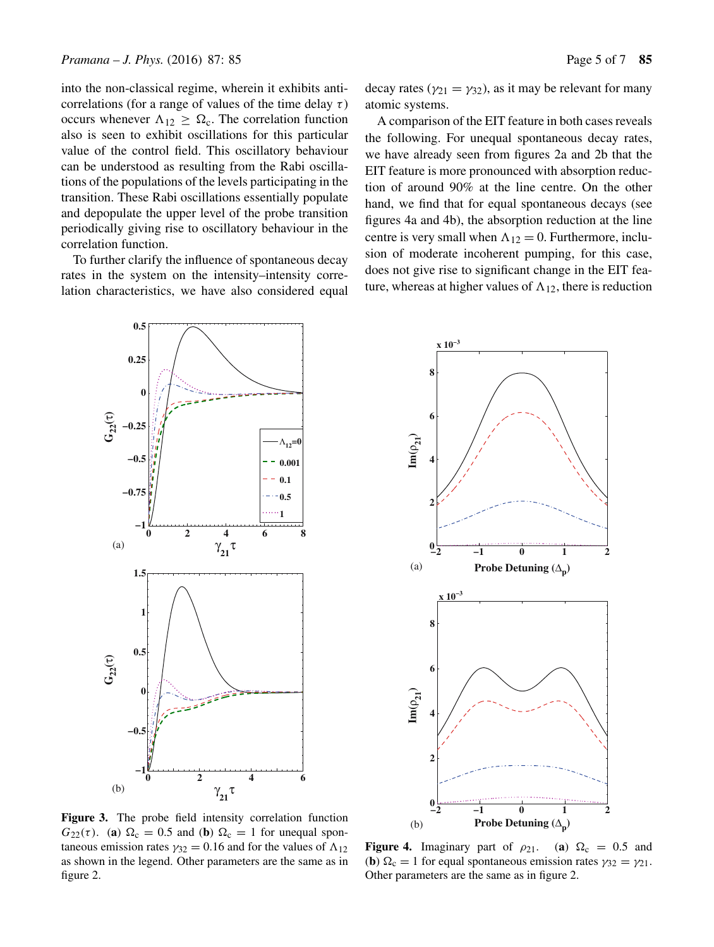into the non-classical regime, wherein it exhibits anticorrelations (for a range of values of the time delay  $\tau$ ) occurs whenever  $\Lambda_{12} \geq \Omega_c$ . The correlation function also is seen to exhibit oscillations for this particular value of the control field. This oscillatory behaviour can be understood as resulting from the Rabi oscillations of the populations of the levels participating in the transition. These Rabi oscillations essentially populate and depopulate the upper level of the probe transition periodically giving rise to oscillatory behaviour in the correlation function.

To further clarify the influence of spontaneous decay rates in the system on the intensity–intensity correlation characteristics, we have also considered equal decay rates ( $\gamma_{21} = \gamma_{32}$ ), as it may be relevant for many atomic systems.

A comparison of the EIT feature in both cases reveals the following. For unequal spontaneous decay rates, we have already seen from figures 2a and 2b that the EIT feature is more pronounced with absorption reduction of around 90% at the line centre. On the other hand, we find that for equal spontaneous decays (see figures 4a and 4b), the absorption reduction at the line centre is very small when  $\Lambda_{12} = 0$ . Furthermore, inclusion of moderate incoherent pumping, for this case, does not give rise to significant change in the EIT feature, whereas at higher values of  $\Lambda_{12}$ , there is reduction





**Figure 3.** The probe field intensity correlation function  $G_{22}(\tau)$ . (**a**)  $\Omega_c = 0.5$  and (**b**)  $\Omega_c = 1$  for unequal spontaneous emission rates  $\gamma_{32} = 0.16$  and for the values of  $\Lambda_{12}$ as shown in the legend. Other parameters are the same as in figure 2.

**Figure 4.** Imaginary part of  $\rho_{21}$ . (**a**)  $\Omega_c = 0.5$  and (**b**)  $\Omega_c = 1$  for equal spontaneous emission rates  $\gamma_{32} = \gamma_{21}$ . Other parameters are the same as in figure 2.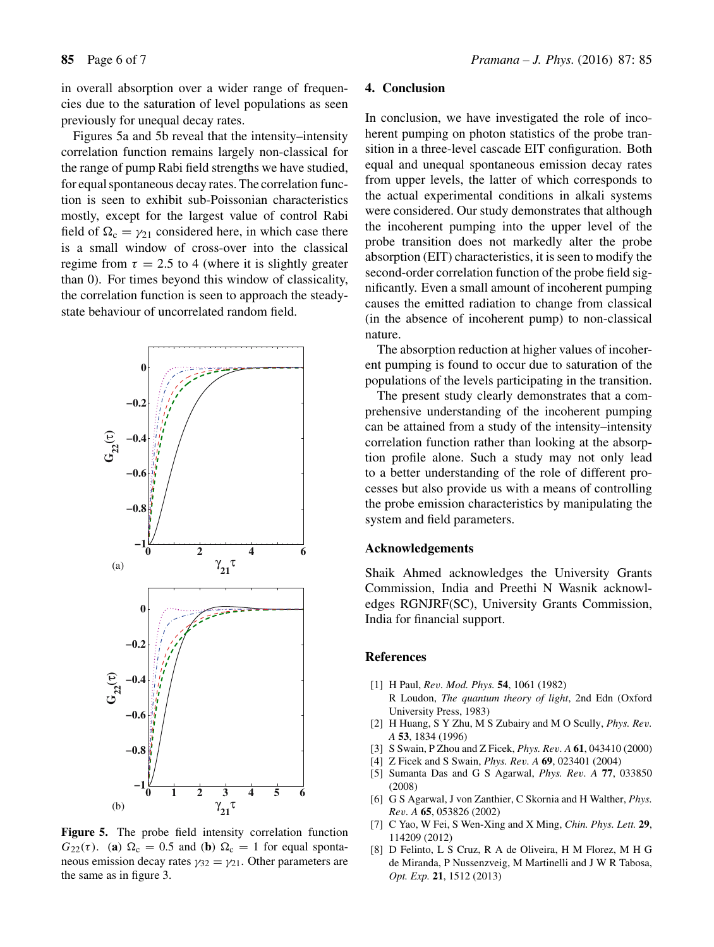in overall absorption over a wider range of frequencies due to the saturation of level populations as seen previously for unequal decay rates.

Figures 5a and 5b reveal that the intensity–intensity correlation function remains largely non-classical for the range of pump Rabi field strengths we have studied, for equal spontaneous decay rates. The correlation function is seen to exhibit sub-Poissonian characteristics mostly, except for the largest value of control Rabi field of  $\Omega_c = \gamma_{21}$  considered here, in which case there is a small window of cross-over into the classical regime from  $\tau = 2.5$  to 4 (where it is slightly greater than 0). For times beyond this window of classicality, the correlation function is seen to approach the steadystate behaviour of uncorrelated random field.



**Figure 5.** The probe field intensity correlation function  $G_{22}(\tau)$ . (**a**)  $\Omega_c = 0.5$  and (**b**)  $\Omega_c = 1$  for equal spontaneous emission decay rates  $\gamma_{32} = \gamma_{21}$ . Other parameters are the same as in figure 3.

#### **4. Conclusion**

In conclusion, we have investigated the role of incoherent pumping on photon statistics of the probe transition in a three-level cascade EIT configuration. Both equal and unequal spontaneous emission decay rates from upper levels, the latter of which corresponds to the actual experimental conditions in alkali systems were considered. Our study demonstrates that although the incoherent pumping into the upper level of the probe transition does not markedly alter the probe absorption (EIT) characteristics, it is seen to modify the second-order correlation function of the probe field significantly. Even a small amount of incoherent pumping causes the emitted radiation to change from classical (in the absence of incoherent pump) to non-classical nature.

The absorption reduction at higher values of incoherent pumping is found to occur due to saturation of the populations of the levels participating in the transition.

The present study clearly demonstrates that a comprehensive understanding of the incoherent pumping can be attained from a study of the intensity–intensity correlation function rather than looking at the absorption profile alone. Such a study may not only lead to a better understanding of the role of different processes but also provide us with a means of controlling the probe emission characteristics by manipulating the system and field parameters.

# **Acknowledgements**

Shaik Ahmed acknowledges the University Grants Commission, India and Preethi N Wasnik acknowledges RGNJRF(SC), University Grants Commission, India for financial support.

#### **References**

- [1] H Paul, *Re*v*. Mod. Phys.* **54**, 1061 (1982)
	- R Loudon, *The quantum theory of light*, 2nd Edn (Oxford University Press, 1983)
- [2] H Huang, S Y Zhu, M S Zubairy and M O Scully, *Phys. Re*v*. A* **53**, 1834 (1996)
- [3] S Swain, P Zhou and Z Ficek, *Phys. Re*v*. A* **61**, 043410 (2000)
- [4] Z Ficek and S Swain, *Phys. Re*v*. A* **69**, 023401 (2004)
- [5] Sumanta Das and G S Agarwal, *Phys. Re*v*. A* **77**, 033850 (2008)
- [6] G S Agarwal, J von Zanthier, C Skornia and H Walther, *Phys. Re*v*. A* **65**, 053826 (2002)
- [7] C Yao, W Fei, S Wen-Xing and X Ming, *Chin. Phys. Lett.* **29**, 114209 (2012)
- [8] D Felinto, L S Cruz, R A de Oliveira, H M Florez, M H G de Miranda, P Nussenzveig, M Martinelli and J W R Tabosa, *Opt. Exp.* **21**, 1512 (2013)